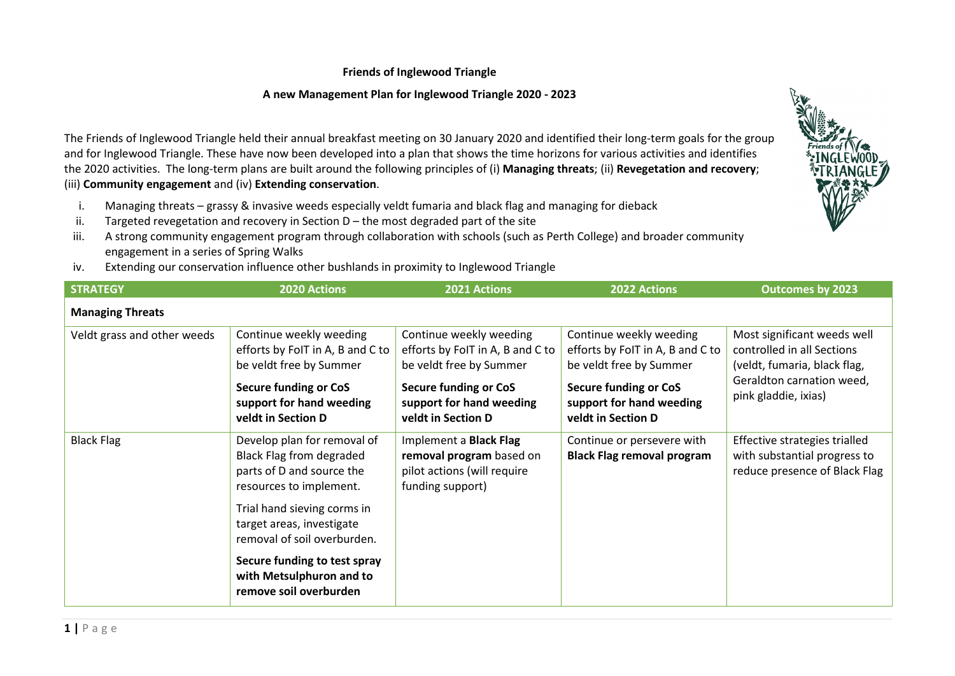## **Friends of Inglewood Triangle**

## **A new Management Plan for Inglewood Triangle 2020 - 2023**

The Friends of Inglewood Triangle held their annual breakfast meeting on 30 January 2020 and identified their long-term goals for the group and for Inglewood Triangle. These have now been developed into a plan that shows the time horizons for various activities and identifies the 2020 activities. The long-term plans are built around the following principles of (i) **Managing threats**; (ii) **Revegetation and recovery**; (iii) **Community engagement** and (iv) **Extending conservation**.

- i. Managing threats grassy & invasive weeds especially veldt fumaria and black flag and managing for dieback
- ii. Targeted revegetation and recovery in Section D the most degraded part of the site
- iii. A strong community engagement program through collaboration with schools (such as Perth College) and broader community engagement in a series of Spring Walks
- iv. Extending our conservation influence other bushlands in proximity to Inglewood Triangle

| <b>STRATEGY</b>             | <b>2020 Actions</b>                                                                                                    | <b>2021 Actions</b>                                                                                                    | <b>2022 Actions</b>                                                                                                    | <b>Outcomes by 2023</b>                                                                                                                        |
|-----------------------------|------------------------------------------------------------------------------------------------------------------------|------------------------------------------------------------------------------------------------------------------------|------------------------------------------------------------------------------------------------------------------------|------------------------------------------------------------------------------------------------------------------------------------------------|
| <b>Managing Threats</b>     |                                                                                                                        |                                                                                                                        |                                                                                                                        |                                                                                                                                                |
| Veldt grass and other weeds | Continue weekly weeding<br>efforts by FoIT in A, B and C to<br>be veldt free by Summer<br><b>Secure funding or CoS</b> | Continue weekly weeding<br>efforts by FoIT in A, B and C to<br>be veldt free by Summer<br><b>Secure funding or CoS</b> | Continue weekly weeding<br>efforts by FoIT in A, B and C to<br>be veldt free by Summer<br><b>Secure funding or CoS</b> | Most significant weeds well<br>controlled in all Sections<br>(veldt, fumaria, black flag,<br>Geraldton carnation weed,<br>pink gladdie, ixias) |
|                             | support for hand weeding<br>veldt in Section D                                                                         | support for hand weeding<br>veldt in Section D                                                                         | support for hand weeding<br>veldt in Section D                                                                         |                                                                                                                                                |
| <b>Black Flag</b>           | Develop plan for removal of<br>Black Flag from degraded<br>parts of D and source the<br>resources to implement.        | Implement a Black Flag<br>removal program based on<br>pilot actions (will require<br>funding support)                  | Continue or persevere with<br><b>Black Flag removal program</b>                                                        | Effective strategies trialled<br>with substantial progress to<br>reduce presence of Black Flag                                                 |
|                             | Trial hand sieving corms in<br>target areas, investigate<br>removal of soil overburden.                                |                                                                                                                        |                                                                                                                        |                                                                                                                                                |
|                             | Secure funding to test spray<br>with Metsulphuron and to<br>remove soil overburden                                     |                                                                                                                        |                                                                                                                        |                                                                                                                                                |

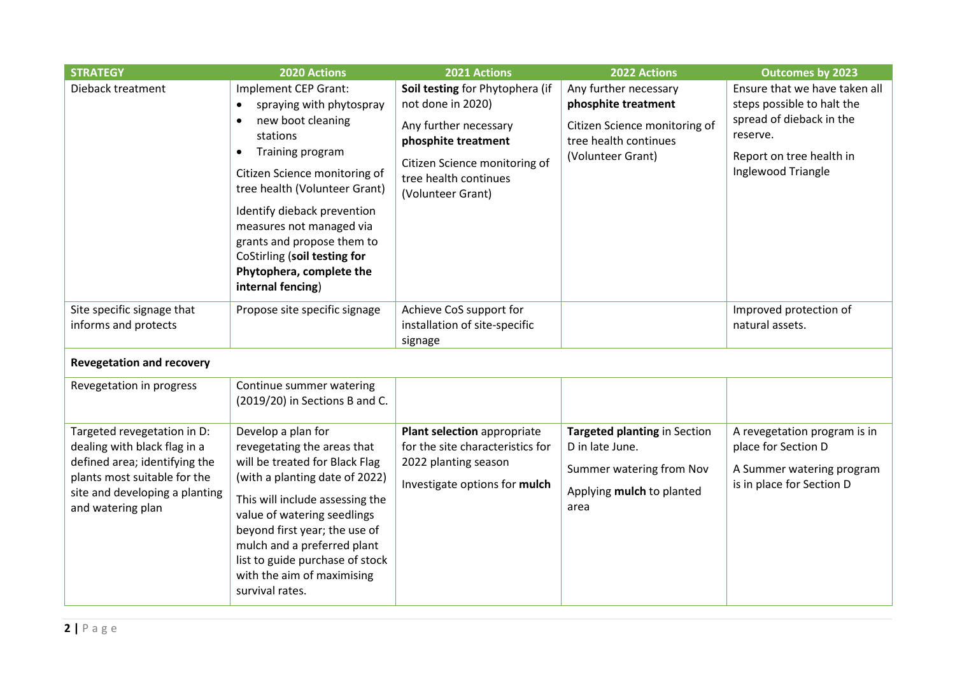| <b>STRATEGY</b>                                                                                                                                                                     | 2020 Actions                                                                                                                                                                                                                                                                                                                                                                             | 2021 Actions                                                                                                                                                                        | 2022 Actions                                                                                                                | <b>Outcomes by 2023</b>                                                                                                                               |  |  |
|-------------------------------------------------------------------------------------------------------------------------------------------------------------------------------------|------------------------------------------------------------------------------------------------------------------------------------------------------------------------------------------------------------------------------------------------------------------------------------------------------------------------------------------------------------------------------------------|-------------------------------------------------------------------------------------------------------------------------------------------------------------------------------------|-----------------------------------------------------------------------------------------------------------------------------|-------------------------------------------------------------------------------------------------------------------------------------------------------|--|--|
| Dieback treatment                                                                                                                                                                   | Implement CEP Grant:<br>spraying with phytospray<br>$\bullet$<br>new boot cleaning<br>$\bullet$<br>stations<br>Training program<br>$\bullet$<br>Citizen Science monitoring of<br>tree health (Volunteer Grant)<br>Identify dieback prevention<br>measures not managed via<br>grants and propose them to<br>CoStirling (soil testing for<br>Phytophera, complete the<br>internal fencing) | Soil testing for Phytophera (if<br>not done in 2020)<br>Any further necessary<br>phosphite treatment<br>Citizen Science monitoring of<br>tree health continues<br>(Volunteer Grant) | Any further necessary<br>phosphite treatment<br>Citizen Science monitoring of<br>tree health continues<br>(Volunteer Grant) | Ensure that we have taken all<br>steps possible to halt the<br>spread of dieback in the<br>reserve.<br>Report on tree health in<br>Inglewood Triangle |  |  |
| Site specific signage that<br>informs and protects                                                                                                                                  | Propose site specific signage                                                                                                                                                                                                                                                                                                                                                            | Achieve CoS support for<br>installation of site-specific<br>signage                                                                                                                 |                                                                                                                             | Improved protection of<br>natural assets.                                                                                                             |  |  |
| <b>Revegetation and recovery</b>                                                                                                                                                    |                                                                                                                                                                                                                                                                                                                                                                                          |                                                                                                                                                                                     |                                                                                                                             |                                                                                                                                                       |  |  |
| Revegetation in progress                                                                                                                                                            | Continue summer watering<br>(2019/20) in Sections B and C.                                                                                                                                                                                                                                                                                                                               |                                                                                                                                                                                     |                                                                                                                             |                                                                                                                                                       |  |  |
| Targeted revegetation in D:<br>dealing with black flag in a<br>defined area; identifying the<br>plants most suitable for the<br>site and developing a planting<br>and watering plan | Develop a plan for<br>revegetating the areas that<br>will be treated for Black Flag<br>(with a planting date of 2022)<br>This will include assessing the<br>value of watering seedlings<br>beyond first year; the use of<br>mulch and a preferred plant<br>list to guide purchase of stock<br>with the aim of maximising<br>survival rates.                                              | Plant selection appropriate<br>for the site characteristics for<br>2022 planting season<br>Investigate options for mulch                                                            | Targeted planting in Section<br>D in late June.<br>Summer watering from Nov<br>Applying mulch to planted<br>area            | A revegetation program is in<br>place for Section D<br>A Summer watering program<br>is in place for Section D                                         |  |  |